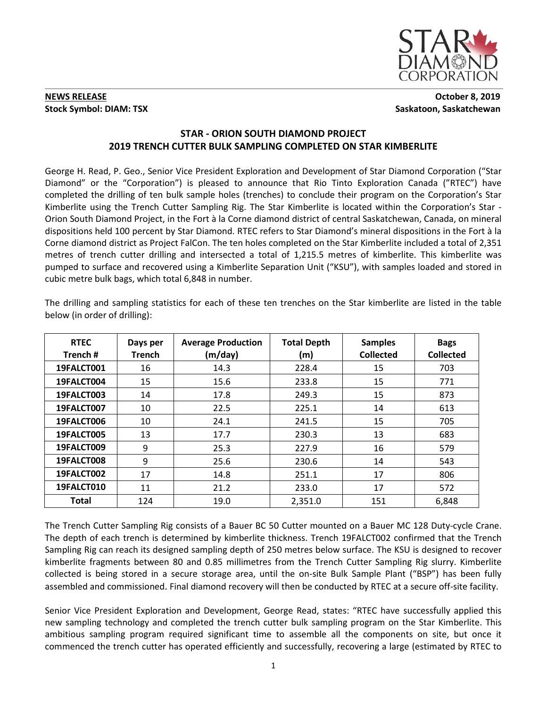

# **NEWS RELEASE** October 8, 2019 **Stock Symbol: DIAM: TSX** Saskatoon, Saskatchewan

# **STAR - ORION SOUTH DIAMOND PROJECT 2019 TRENCH CUTTER BULK SAMPLING COMPLETED ON STAR KIMBERLITE**

George H. Read, P. Geo., Senior Vice President Exploration and Development of Star Diamond Corporation ("Star Diamond" or the "Corporation") is pleased to announce that Rio Tinto Exploration Canada ("RTEC") have completed the drilling of ten bulk sample holes (trenches) to conclude their program on the Corporation's Star Kimberlite using the Trench Cutter Sampling Rig. The Star Kimberlite is located within the Corporation's Star - Orion South Diamond Project, in the Fort à la Corne diamond district of central Saskatchewan, Canada, on mineral dispositions held 100 percent by Star Diamond. RTEC refers to Star Diamond's mineral dispositions in the Fort à la Corne diamond district as Project FalCon. The ten holes completed on the Star Kimberlite included a total of 2,351 metres of trench cutter drilling and intersected a total of 1,215.5 metres of kimberlite. This kimberlite was pumped to surface and recovered using a Kimberlite Separation Unit ("KSU"), with samples loaded and stored in cubic metre bulk bags, which total 6,848 in number.

| <b>RTEC</b><br>Trench # | Days per<br><b>Trench</b> | <b>Average Production</b><br>(m/day) | <b>Total Depth</b><br>(m) | <b>Samples</b><br><b>Collected</b> | <b>Bags</b><br><b>Collected</b> |
|-------------------------|---------------------------|--------------------------------------|---------------------------|------------------------------------|---------------------------------|
| 19FALCT001              | 16                        | 14.3                                 | 228.4                     | 15                                 | 703                             |
| 19FALCT004              | 15                        | 15.6                                 | 233.8                     | 15                                 | 771                             |
| 19FALCT003              | 14                        | 17.8                                 | 249.3                     | 15                                 | 873                             |
| 19FALCT007              | 10                        | 22.5                                 | 225.1                     | 14                                 | 613                             |
| 19FALCT006              | 10                        | 24.1                                 | 241.5                     | 15                                 | 705                             |
| 19FALCT005              | 13                        | 17.7                                 | 230.3                     | 13                                 | 683                             |
| 19FALCT009              | 9                         | 25.3                                 | 227.9                     | 16                                 | 579                             |
| 19FALCT008              | 9                         | 25.6                                 | 230.6                     | 14                                 | 543                             |
| 19FALCT002              | 17                        | 14.8                                 | 251.1                     | 17                                 | 806                             |
| 19FALCT010              | 11                        | 21.2                                 | 233.0                     | 17                                 | 572                             |
| <b>Total</b>            | 124                       | 19.0                                 | 2,351.0                   | 151                                | 6,848                           |

The drilling and sampling statistics for each of these ten trenches on the Star kimberlite are listed in the table below (in order of drilling):

The Trench Cutter Sampling Rig consists of a Bauer BC 50 Cutter mounted on a Bauer MC 128 Duty-cycle Crane. The depth of each trench is determined by kimberlite thickness. Trench 19FALCT002 confirmed that the Trench Sampling Rig can reach its designed sampling depth of 250 metres below surface. The KSU is designed to recover kimberlite fragments between 80 and 0.85 millimetres from the Trench Cutter Sampling Rig slurry. Kimberlite collected is being stored in a secure storage area, until the on-site Bulk Sample Plant ("BSP") has been fully assembled and commissioned. Final diamond recovery will then be conducted by RTEC at a secure off-site facility.

Senior Vice President Exploration and Development, George Read, states: "RTEC have successfully applied this new sampling technology and completed the trench cutter bulk sampling program on the Star Kimberlite. This ambitious sampling program required significant time to assemble all the components on site, but once it commenced the trench cutter has operated efficiently and successfully, recovering a large (estimated by RTEC to